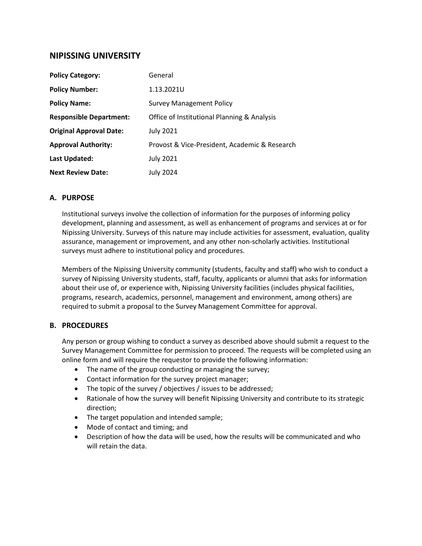# **NIPISSING UNIVERSITY**

| <b>Policy Category:</b>        | General                                       |
|--------------------------------|-----------------------------------------------|
| <b>Policy Number:</b>          | 1.13.2021U                                    |
| <b>Policy Name:</b>            | <b>Survey Management Policy</b>               |
| <b>Responsible Department:</b> | Office of Institutional Planning & Analysis   |
| <b>Original Approval Date:</b> | <b>July 2021</b>                              |
| <b>Approval Authority:</b>     | Provost & Vice-President, Academic & Research |
| Last Updated:                  | <b>July 2021</b>                              |
| <b>Next Review Date:</b>       | July 2024                                     |

#### **A. PURPOSE**

Institutional surveys involve the collection of information for the purposes of informing policy development, planning and assessment, as well as enhancement of programs and services at or for Nipissing University. Surveys of this nature may include activities for assessment, evaluation, quality assurance, management or improvement, and any other non-scholarly activities. Institutional surveys must adhere to institutional policy and procedures.

Members of the Nipissing University community (students, faculty and staff) who wish to conduct a survey of Nipissing University students, staff, faculty, applicants or alumni that asks for information about their use of, or experience with, Nipissing University facilities (includes physical facilities, programs, research, academics, personnel, management and environment, among others) are required to submit a proposal to the Survey Management Committee for approval.

### **B. PROCEDURES**

Any person or group wishing to conduct a survey as described above should submit a request to the Survey Management Committee for permission to proceed. The requests will be completed using an online form and will require the requestor to provide the following information:

- The name of the group conducting or managing the survey;
- Contact information for the survey project manager;
- The topic of the survey / objectives / issues to be addressed;
- Rationale of how the survey will benefit Nipissing University and contribute to its strategic direction;
- The target population and intended sample;
- Mode of contact and timing; and
- Description of how the data will be used, how the results will be communicated and who will retain the data.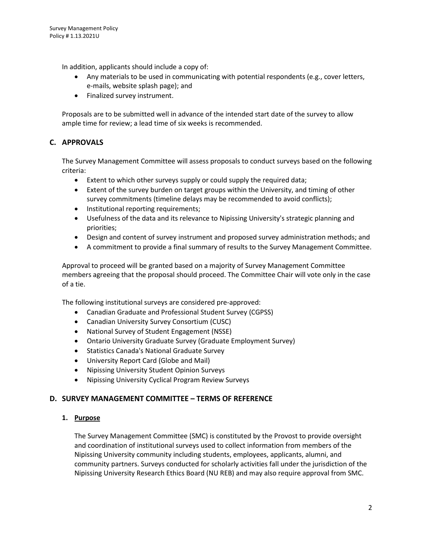In addition, applicants should include a copy of:

- Any materials to be used in communicating with potential respondents (e.g., cover letters, e-mails, website splash page); and
- Finalized survey instrument.

Proposals are to be submitted well in advance of the intended start date of the survey to allow ample time for review; a lead time of six weeks is recommended.

## **C. APPROVALS**

The Survey Management Committee will assess proposals to conduct surveys based on the following criteria:

- Extent to which other surveys supply or could supply the required data;
- Extent of the survey burden on target groups within the University, and timing of other survey commitments (timeline delays may be recommended to avoid conflicts);
- Institutional reporting requirements;
- Usefulness of the data and its relevance to Nipissing University's strategic planning and priorities;
- Design and content of survey instrument and proposed survey administration methods; and
- A commitment to provide a final summary of results to the Survey Management Committee.

Approval to proceed will be granted based on a majority of Survey Management Committee members agreeing that the proposal should proceed. The Committee Chair will vote only in the case of a tie.

The following institutional surveys are considered pre-approved:

- Canadian Graduate and Professional Student Survey (CGPSS)
- Canadian University Survey Consortium (CUSC)
- National Survey of Student Engagement (NSSE)
- Ontario University Graduate Survey (Graduate Employment Survey)
- Statistics Canada's National Graduate Survey
- University Report Card (Globe and Mail)
- Nipissing University Student Opinion Surveys
- Nipissing University Cyclical Program Review Surveys

### **D. SURVEY MANAGEMENT COMMITTEE – TERMS OF REFERENCE**

#### **1. Purpose**

The Survey Management Committee (SMC) is constituted by the Provost to provide oversight and coordination of institutional surveys used to collect information from members of the Nipissing University community including students, employees, applicants, alumni, and community partners. Surveys conducted for scholarly activities fall under the jurisdiction of the Nipissing University Research Ethics Board (NU REB) and may also require approval from SMC.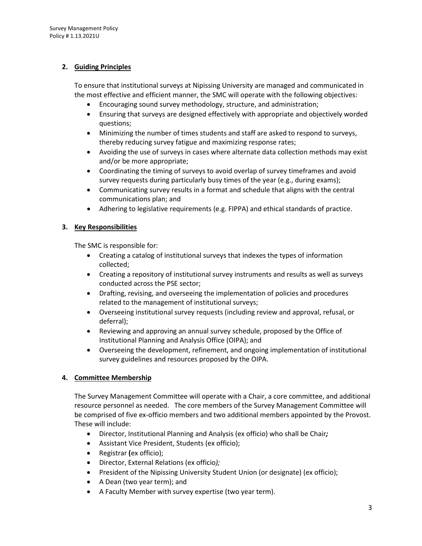## **2. Guiding Principles**

To ensure that institutional surveys at Nipissing University are managed and communicated in the most effective and efficient manner, the SMC will operate with the following objectives:

- Encouraging sound survey methodology, structure, and administration;
- Ensuring that surveys are designed effectively with appropriate and objectively worded questions;
- Minimizing the number of times students and staff are asked to respond to surveys, thereby reducing survey fatigue and maximizing response rates;
- Avoiding the use of surveys in cases where alternate data collection methods may exist and/or be more appropriate;
- Coordinating the timing of surveys to avoid overlap of survey timeframes and avoid survey requests during particularly busy times of the year (e.g., during exams);
- Communicating survey results in a format and schedule that aligns with the central communications plan; and
- Adhering to legislative requirements (e.g. FIPPA) and ethical standards of practice.

## **3. Key Responsibilities**

The SMC is responsible for:

- Creating a catalog of institutional surveys that indexes the types of information collected;
- Creating a repository of institutional survey instruments and results as well as surveys conducted across the PSE sector;
- Drafting, revising, and overseeing the implementation of policies and procedures related to the management of institutional surveys;
- Overseeing institutional survey requests (including review and approval, refusal, or deferral);
- Reviewing and approving an annual survey schedule, proposed by the Office of Institutional Planning and Analysis Office (OIPA); and
- Overseeing the development, refinement, and ongoing implementation of institutional survey guidelines and resources proposed by the OIPA.

## **4. Committee Membership**

The Survey Management Committee will operate with a Chair, a core committee, and additional resource personnel as needed. The core members of the Survey Management Committee will be comprised of five ex-officio members and two additional members appointed by the Provost. These will include:

- Director, Institutional Planning and Analysis (ex officio) who shall be Chair*;*
- Assistant Vice President, Students (ex officio);
- Registrar **(**ex officio);
- Director, External Relations (ex officio*);*
- President of the Nipissing University Student Union (or designate) (ex officio);
- A Dean (two year term); and
- A Faculty Member with survey expertise (two year term).